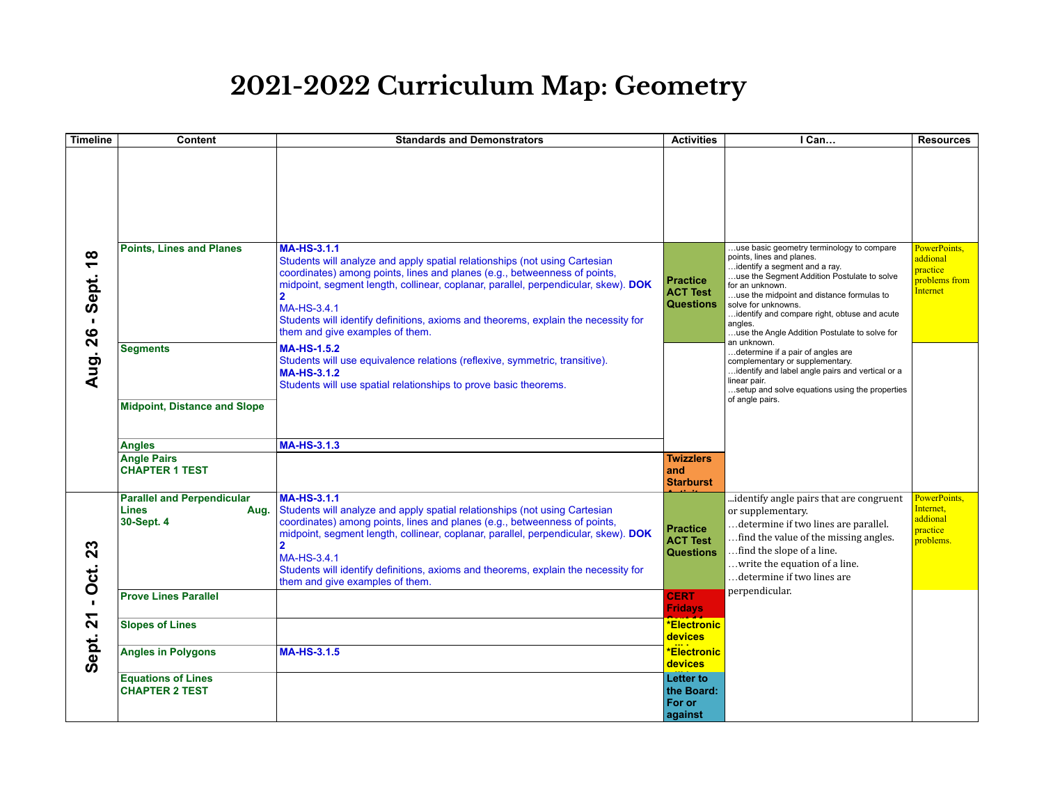## **2021-2022 Curriculum Map: Geometry**

| <b>Timeline</b>                                                     | <b>Content</b>                                                          | <b>Standards and Demonstrators</b>                                                                                                                                                                                                                                                                                                                                                                                            | <b>Activities</b>                                      | I Can                                                                                                                                                                                                                                                                                                                                                     | <b>Resources</b>                                                  |
|---------------------------------------------------------------------|-------------------------------------------------------------------------|-------------------------------------------------------------------------------------------------------------------------------------------------------------------------------------------------------------------------------------------------------------------------------------------------------------------------------------------------------------------------------------------------------------------------------|--------------------------------------------------------|-----------------------------------------------------------------------------------------------------------------------------------------------------------------------------------------------------------------------------------------------------------------------------------------------------------------------------------------------------------|-------------------------------------------------------------------|
|                                                                     |                                                                         |                                                                                                                                                                                                                                                                                                                                                                                                                               |                                                        |                                                                                                                                                                                                                                                                                                                                                           |                                                                   |
| $\infty$<br>$\overline{\phantom{0}}$<br>Sept.<br>$\mathbf{I}$<br>26 | <b>Points, Lines and Planes</b>                                         | <b>MA-HS-3.1.1</b><br>Students will analyze and apply spatial relationships (not using Cartesian<br>coordinates) among points, lines and planes (e.g., betweenness of points,<br>midpoint, segment length, collinear, coplanar, parallel, perpendicular, skew). DOK<br>$\mathbf{2}$<br>MA-HS-3.4.1<br>Students will identify definitions, axioms and theorems, explain the necessity for<br>them and give examples of them.   | <b>Practice</b><br><b>ACT Test</b><br><b>Questions</b> | use basic geometry terminology to compare<br>points, lines and planes.<br>identify a segment and a ray.<br>use the Segment Addition Postulate to solve<br>for an unknown.<br>use the midpoint and distance formulas to<br>solve for unknowns.<br>identify and compare right, obtuse and acute<br>angles.<br>use the Angle Addition Postulate to solve for | PowerPoints.<br>addional<br>practice<br>problems from<br>Internet |
| Aug.                                                                | <b>Segments</b><br><b>Midpoint, Distance and Slope</b>                  | <b>MA-HS-1.5.2</b><br>Students will use equivalence relations (reflexive, symmetric, transitive).<br><b>MA-HS-3.1.2</b><br>Students will use spatial relationships to prove basic theorems.                                                                                                                                                                                                                                   |                                                        | an unknown.<br>determine if a pair of angles are<br>complementary or supplementary.<br>identify and label angle pairs and vertical or a<br>linear pair.<br>setup and solve equations using the properties<br>of angle pairs.                                                                                                                              |                                                                   |
|                                                                     | <b>Angles</b>                                                           | <b>MA-HS-3.1.3</b>                                                                                                                                                                                                                                                                                                                                                                                                            |                                                        |                                                                                                                                                                                                                                                                                                                                                           |                                                                   |
|                                                                     | <b>Angle Pairs</b><br><b>CHAPTER 1 TEST</b>                             |                                                                                                                                                                                                                                                                                                                                                                                                                               | <b>Twizzlers</b><br>and<br><b>Starburst</b>            |                                                                                                                                                                                                                                                                                                                                                           |                                                                   |
| 23<br>Oct.<br>$\mathbf{L}$<br>$\mathbf{z}$<br>Sept.                 | <b>Parallel and Perpendicular</b><br><b>Lines</b><br>Aug.<br>30-Sept. 4 | <b>MA-HS-3.1.1</b><br>Students will analyze and apply spatial relationships (not using Cartesian<br>coordinates) among points, lines and planes (e.g., betweenness of points,<br>midpoint, segment length, collinear, coplanar, parallel, perpendicular, skew). DOK<br>$\overline{2}$<br>MA-HS-3.4.1<br>Students will identify definitions, axioms and theorems, explain the necessity for<br>them and give examples of them. | <b>Practice</b><br><b>ACT Test</b><br><b>Questions</b> | identify angle pairs that are congruent<br>or supplementary.<br>determine if two lines are parallel.<br>find the value of the missing angles.<br>find the slope of a line.<br>write the equation of a line.<br>determine if two lines are                                                                                                                 | PowerPoints,<br>Internet,<br>addional<br>practice<br>problems.    |
|                                                                     | <b>Prove Lines Parallel</b>                                             |                                                                                                                                                                                                                                                                                                                                                                                                                               | <b>CERT</b><br><b>Fridays</b>                          | perpendicular.                                                                                                                                                                                                                                                                                                                                            |                                                                   |
|                                                                     | <b>Slopes of Lines</b>                                                  |                                                                                                                                                                                                                                                                                                                                                                                                                               | <b>*Electronic</b><br>devices                          |                                                                                                                                                                                                                                                                                                                                                           |                                                                   |
|                                                                     | <b>Angles in Polygons</b>                                               | <b>MA-HS-3.1.5</b>                                                                                                                                                                                                                                                                                                                                                                                                            | <b>*Electronic</b><br>devices                          |                                                                                                                                                                                                                                                                                                                                                           |                                                                   |
|                                                                     | <b>Equations of Lines</b><br><b>CHAPTER 2 TEST</b>                      |                                                                                                                                                                                                                                                                                                                                                                                                                               | <b>Letter to</b><br>the Board:<br>For or<br>against    |                                                                                                                                                                                                                                                                                                                                                           |                                                                   |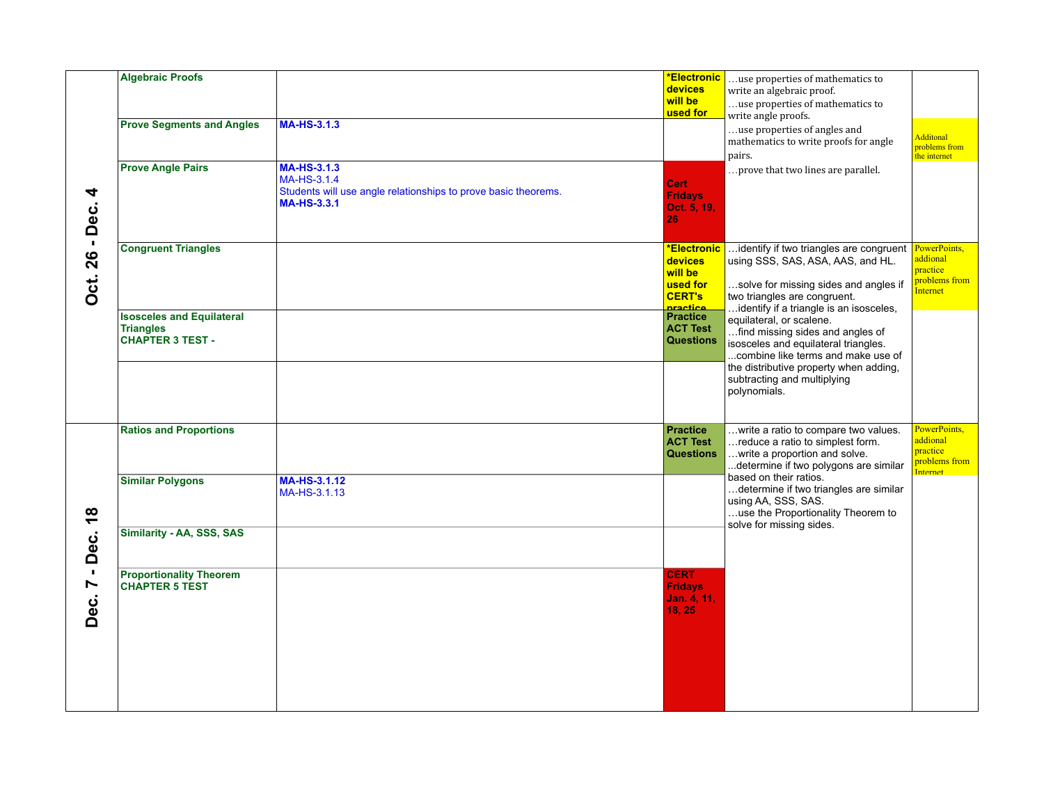| 4<br>Dec.                                                              | <b>Algebraic Proofs</b><br><b>Prove Segments and Angles</b>                     | <b>MA-HS-3.1.3</b>                                                                                                        | <b>*Electronic</b><br>devices<br>will be<br>used for                       | use properties of mathematics to<br>write an algebraic proof.<br>use properties of mathematics to<br>write angle proofs.<br>use properties of angles and                                                                            | <b>Additonal</b>                                                         |
|------------------------------------------------------------------------|---------------------------------------------------------------------------------|---------------------------------------------------------------------------------------------------------------------------|----------------------------------------------------------------------------|-------------------------------------------------------------------------------------------------------------------------------------------------------------------------------------------------------------------------------------|--------------------------------------------------------------------------|
|                                                                        | <b>Prove Angle Pairs</b>                                                        | <b>MA-HS-3.1.3</b><br>MA-HS-3.1.4<br>Students will use angle relationships to prove basic theorems.<br><b>MA-HS-3.3.1</b> | <b>Cert</b><br><b>Fridays</b><br>Oct. 5, 19,<br>26                         | mathematics to write proofs for angle<br>pairs.<br>prove that two lines are parallel.                                                                                                                                               | problems from<br>the internet                                            |
| $\blacksquare$<br><b>Dct. 26</b>                                       | <b>Congruent Triangles</b>                                                      |                                                                                                                           | *Electronic<br>devices<br>will be<br>used for<br><b>CERT's</b><br>nractice | identify if two triangles are congruent<br>using SSS, SAS, ASA, AAS, and HL.<br>solve for missing sides and angles if<br>two triangles are congruent.<br>identify if a triangle is an isosceles,                                    | PowerPoints,<br>addional<br>practice<br>problems from<br><b>Internet</b> |
|                                                                        | <b>Isosceles and Equilateral</b><br><b>Triangles</b><br><b>CHAPTER 3 TEST -</b> |                                                                                                                           | <b>Practice</b><br><b>ACT Test</b><br><b>Questions</b>                     | equilateral, or scalene.<br>find missing sides and angles of<br>isosceles and equilateral triangles.<br>combine like terms and make use of<br>the distributive property when adding,<br>subtracting and multiplying<br>polynomials. |                                                                          |
| $\frac{8}{1}$<br>Dec.<br>$\mathbf{I}$<br>$\blacktriangleright$<br>Dec. | <b>Ratios and Proportions</b>                                                   |                                                                                                                           | <b>Practice</b><br><b>ACT Test</b><br><b>Questions</b>                     | write a ratio to compare two values.<br>reduce a ratio to simplest form.<br>write a proportion and solve.<br>determine if two polygons are similar                                                                                  | PowerPoints,<br>addional<br>practice<br>problems from                    |
|                                                                        | <b>Similar Polygons</b>                                                         | MA-HS-3.1.12<br>MA-HS-3.1.13                                                                                              |                                                                            | based on their ratios.<br>determine if two triangles are similar<br>using AA, SSS, SAS.<br>use the Proportionality Theorem to<br>solve for missing sides.                                                                           | Internet                                                                 |
|                                                                        | Similarity - AA, SSS, SAS                                                       |                                                                                                                           | <b>CERT</b>                                                                |                                                                                                                                                                                                                                     |                                                                          |
|                                                                        | <b>Proportionality Theorem</b><br><b>CHAPTER 5 TEST</b>                         |                                                                                                                           | <b>Fridays</b><br>Jan. 4, 11,<br>18, 25                                    |                                                                                                                                                                                                                                     |                                                                          |
|                                                                        |                                                                                 |                                                                                                                           |                                                                            |                                                                                                                                                                                                                                     |                                                                          |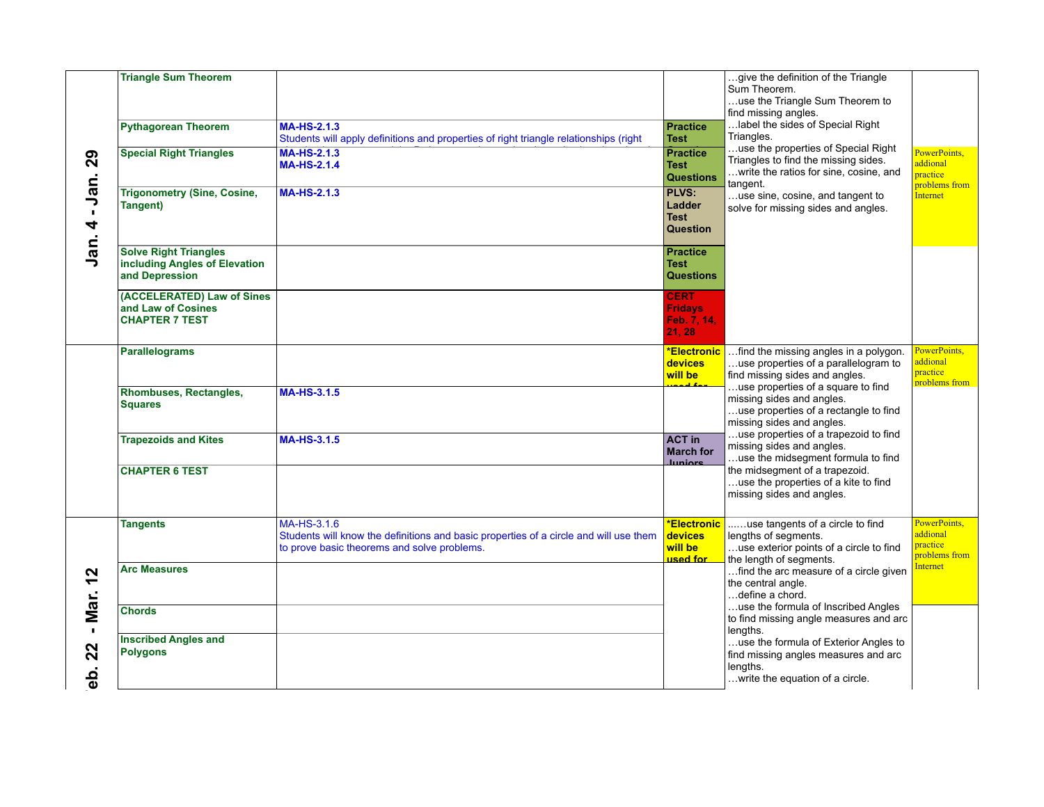| 29<br>Jan.<br>$\mathbf{I}$<br>4                                   | <b>Triangle Sum Theorem</b><br><b>Pythagorean Theorem</b><br><b>Special Right Triangles</b><br><b>Trigonometry (Sine, Cosine,</b><br>Tangent) | <b>MA-HS-2.1.3</b><br>Students will apply definitions and properties of right triangle relationships (right<br><b>MA-HS-2.1.3</b><br><b>MA-HS-2.1.4</b><br><b>MA-HS-2.1.3</b> | <b>Practice</b><br><b>Test</b><br><b>Practice</b><br><b>Test</b><br><b>Questions</b><br>PLVS:<br>Ladder<br><b>Test</b><br>Question | give the definition of the Triangle<br>Sum Theorem.<br>use the Triangle Sum Theorem to<br>find missing angles.<br>label the sides of Special Right<br>Triangles.<br>use the properties of Special Right<br>Triangles to find the missing sides.<br>write the ratios for sine, cosine, and<br>tangent.<br>use sine, cosine, and tangent to<br>solve for missing sides and angles. | PowerPoints,<br>addional<br>practice<br>problems from<br><b>Internet</b> |
|-------------------------------------------------------------------|-----------------------------------------------------------------------------------------------------------------------------------------------|-------------------------------------------------------------------------------------------------------------------------------------------------------------------------------|------------------------------------------------------------------------------------------------------------------------------------|----------------------------------------------------------------------------------------------------------------------------------------------------------------------------------------------------------------------------------------------------------------------------------------------------------------------------------------------------------------------------------|--------------------------------------------------------------------------|
| Jan.                                                              | <b>Solve Right Triangles</b><br>including Angles of Elevation<br>and Depression<br>(ACCELERATED) Law of Sines                                 |                                                                                                                                                                               | <b>Practice</b><br><b>Test</b><br><b>Questions</b><br><b>CERT</b>                                                                  |                                                                                                                                                                                                                                                                                                                                                                                  |                                                                          |
|                                                                   | and Law of Cosines<br><b>CHAPTER 7 TEST</b>                                                                                                   |                                                                                                                                                                               | <b>Fridays</b><br>Feb. 7, 14,<br>21, 28                                                                                            |                                                                                                                                                                                                                                                                                                                                                                                  |                                                                          |
|                                                                   | <b>Parallelograms</b>                                                                                                                         |                                                                                                                                                                               | *Electronic<br>devices<br>will be                                                                                                  | find the missing angles in a polygon.<br>use properties of a parallelogram to<br>find missing sides and angles.                                                                                                                                                                                                                                                                  | PowerPoints,<br>addional<br>practice<br><b>problems</b> from             |
|                                                                   | <b>Rhombuses, Rectangles,</b><br><b>Squares</b>                                                                                               | <b>MA-HS-3.1.5</b>                                                                                                                                                            |                                                                                                                                    | use properties of a square to find<br>missing sides and angles.<br>use properties of a rectangle to find<br>missing sides and angles.<br>use properties of a trapezoid to find                                                                                                                                                                                                   |                                                                          |
|                                                                   | <b>Trapezoids and Kites</b>                                                                                                                   | <b>MA-HS-3.1.5</b>                                                                                                                                                            | <b>ACT in</b><br><b>March for</b><br><b>Juniors</b>                                                                                | missing sides and angles.<br>use the midsegment formula to find<br>the midsegment of a trapezoid.                                                                                                                                                                                                                                                                                |                                                                          |
|                                                                   | <b>CHAPTER 6 TEST</b>                                                                                                                         |                                                                                                                                                                               |                                                                                                                                    | use the properties of a kite to find<br>missing sides and angles.                                                                                                                                                                                                                                                                                                                |                                                                          |
| $\mathbf{\Omega}$<br>$\blacktriangledown$<br>Mar.<br>$\mathbf{L}$ | Tangents                                                                                                                                      | MA-HS-3.1.6<br>Students will know the definitions and basic properties of a circle and will use them<br>to prove basic theorems and solve problems.                           | <b>*Electronic</b><br><b>devices</b><br>will be<br>used for                                                                        | use tangents of a circle to find<br>lengths of segments.<br>use exterior points of a circle to find<br>the length of segments.                                                                                                                                                                                                                                                   | PowerPoints,<br>addional<br>practice<br>problems from                    |
|                                                                   | <b>Arc Measures</b>                                                                                                                           |                                                                                                                                                                               |                                                                                                                                    | find the arc measure of a circle given<br>the central angle.<br>define a chord.                                                                                                                                                                                                                                                                                                  | <b>Internet</b>                                                          |
|                                                                   | <b>Chords</b>                                                                                                                                 |                                                                                                                                                                               |                                                                                                                                    | use the formula of Inscribed Angles<br>to find missing angle measures and arc<br>lengths.                                                                                                                                                                                                                                                                                        |                                                                          |
| 22<br>န္ထ                                                         | <b>Inscribed Angles and</b><br><b>Polygons</b>                                                                                                |                                                                                                                                                                               |                                                                                                                                    | use the formula of Exterior Angles to<br>find missing angles measures and arc<br>lengths.<br>write the equation of a circle.                                                                                                                                                                                                                                                     |                                                                          |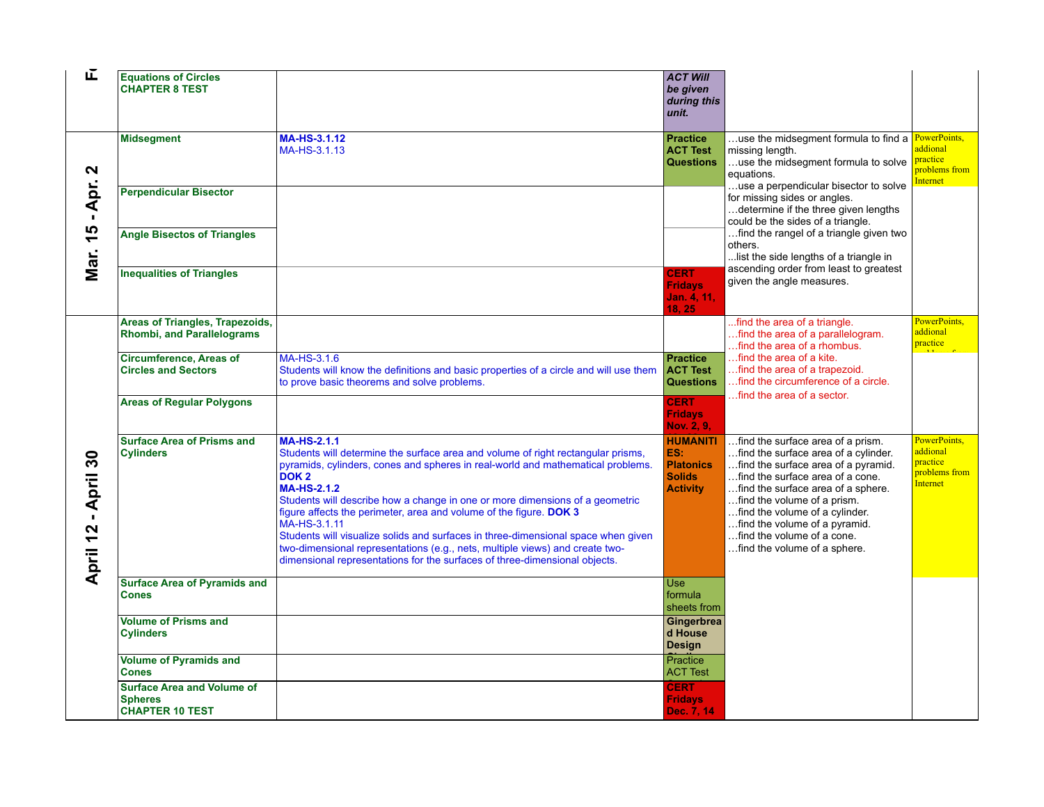| 正                                        | <b>Equations of Circles</b><br><b>CHAPTER 8 TEST</b>                          |                                                                                                                                                                                                                                                                                                                                                                                                                                                                                                                                                                                                                                                              | <b>ACT Will</b><br>be given<br>during this<br>unit.                            |                                                                                                                                                                                                                                                                                                                                                            |                                                                          |
|------------------------------------------|-------------------------------------------------------------------------------|--------------------------------------------------------------------------------------------------------------------------------------------------------------------------------------------------------------------------------------------------------------------------------------------------------------------------------------------------------------------------------------------------------------------------------------------------------------------------------------------------------------------------------------------------------------------------------------------------------------------------------------------------------------|--------------------------------------------------------------------------------|------------------------------------------------------------------------------------------------------------------------------------------------------------------------------------------------------------------------------------------------------------------------------------------------------------------------------------------------------------|--------------------------------------------------------------------------|
| $\mathbf{\Omega}$                        | <b>Midsegment</b>                                                             | MA-HS-3.1.12<br>MA-HS-3.1.13                                                                                                                                                                                                                                                                                                                                                                                                                                                                                                                                                                                                                                 | <b>Practice</b><br><b>ACT Test</b><br><b>Questions</b>                         | use the midsegment formula to find a PowerPoints,<br>missing length.<br>use the midsegment formula to solve<br>equations.                                                                                                                                                                                                                                  | addional<br>practice<br>problems from<br><b>Internet</b>                 |
| Apr.<br>$\blacksquare$                   | <b>Perpendicular Bisector</b>                                                 |                                                                                                                                                                                                                                                                                                                                                                                                                                                                                                                                                                                                                                                              |                                                                                | use a perpendicular bisector to solve<br>for missing sides or angles.<br>determine if the three given lengths<br>could be the sides of a triangle.                                                                                                                                                                                                         |                                                                          |
| 15<br>Mar.                               | <b>Angle Bisectos of Triangles</b>                                            |                                                                                                                                                                                                                                                                                                                                                                                                                                                                                                                                                                                                                                                              |                                                                                | find the rangel of a triangle given two<br>others.<br>list the side lengths of a triangle in<br>ascending order from least to greatest                                                                                                                                                                                                                     |                                                                          |
|                                          | <b>Inequalities of Triangles</b>                                              |                                                                                                                                                                                                                                                                                                                                                                                                                                                                                                                                                                                                                                                              | <b>CERT</b><br><b>Fridavs</b><br>Jan. 4, 11,<br>18, 25                         | given the angle measures.                                                                                                                                                                                                                                                                                                                                  |                                                                          |
| - April 30<br>$\mathbf{\Omega}$<br>April | Areas of Triangles, Trapezoids,<br><b>Rhombi, and Parallelograms</b>          |                                                                                                                                                                                                                                                                                                                                                                                                                                                                                                                                                                                                                                                              |                                                                                | find the area of a triangle.<br>find the area of a parallelogram.<br>find the area of a rhombus.                                                                                                                                                                                                                                                           | PowerPoints,<br>addional<br>practice                                     |
|                                          | <b>Circumference, Areas of</b><br><b>Circles and Sectors</b>                  | MA-HS-3.1.6<br>Students will know the definitions and basic properties of a circle and will use them<br>to prove basic theorems and solve problems.                                                                                                                                                                                                                                                                                                                                                                                                                                                                                                          | <b>Practice</b><br><b>ACT Test</b><br><b>Questions</b>                         | find the area of a kite.<br>find the area of a trapezoid.<br>find the circumference of a circle.<br>find the area of a sector.                                                                                                                                                                                                                             |                                                                          |
|                                          | <b>Areas of Regular Polygons</b>                                              |                                                                                                                                                                                                                                                                                                                                                                                                                                                                                                                                                                                                                                                              | <b>CERT</b><br><b>Fridays</b><br>Nov. 2, 9,                                    |                                                                                                                                                                                                                                                                                                                                                            |                                                                          |
|                                          | <b>Surface Area of Prisms and</b><br><b>Cylinders</b>                         | <b>MA-HS-2.1.1</b><br>Students will determine the surface area and volume of right rectangular prisms,<br>pyramids, cylinders, cones and spheres in real-world and mathematical problems.<br>DOK <sub>2</sub><br><b>MA-HS-2.1.2</b><br>Students will describe how a change in one or more dimensions of a geometric<br>figure affects the perimeter, area and volume of the figure. DOK 3<br>MA-HS-3.1.11<br>Students will visualize solids and surfaces in three-dimensional space when given<br>two-dimensional representations (e.g., nets, multiple views) and create two-<br>dimensional representations for the surfaces of three-dimensional objects. | <b>HUMANITI</b><br>ES:<br><b>Platonics</b><br><b>Solids</b><br><b>Activity</b> | find the surface area of a prism.<br>find the surface area of a cylinder.<br>find the surface area of a pyramid.<br>find the surface area of a cone.<br>find the surface area of a sphere.<br>find the volume of a prism.<br>find the volume of a cylinder.<br>find the volume of a pyramid.<br>find the volume of a cone.<br>find the volume of a sphere. | PowerPoints,<br>addional<br>practice<br>problems from<br><b>Internet</b> |
|                                          | <b>Surface Area of Pyramids and</b><br><b>Cones</b>                           |                                                                                                                                                                                                                                                                                                                                                                                                                                                                                                                                                                                                                                                              | <b>Use</b><br>formula<br>sheets from                                           |                                                                                                                                                                                                                                                                                                                                                            |                                                                          |
|                                          | <b>Volume of Prisms and</b><br><b>Cylinders</b>                               |                                                                                                                                                                                                                                                                                                                                                                                                                                                                                                                                                                                                                                                              | Gingerbrea<br>d House<br><b>Design</b>                                         |                                                                                                                                                                                                                                                                                                                                                            |                                                                          |
|                                          | <b>Volume of Pyramids and</b><br><b>Cones</b>                                 |                                                                                                                                                                                                                                                                                                                                                                                                                                                                                                                                                                                                                                                              | Practice<br><b>ACT Test</b>                                                    |                                                                                                                                                                                                                                                                                                                                                            |                                                                          |
|                                          | <b>Surface Area and Volume of</b><br><b>Spheres</b><br><b>CHAPTER 10 TEST</b> |                                                                                                                                                                                                                                                                                                                                                                                                                                                                                                                                                                                                                                                              | <b>CERT</b><br><b>Fridays</b><br>Dec. 7, 14                                    |                                                                                                                                                                                                                                                                                                                                                            |                                                                          |